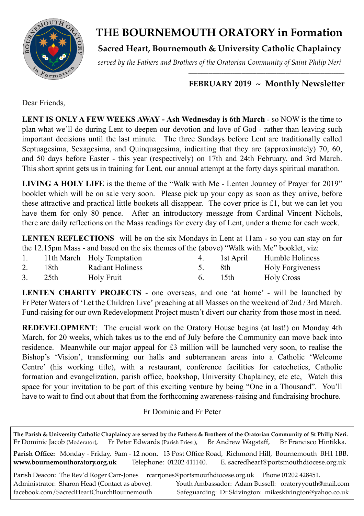

# **THE BOURNEMOUTH ORATORY in Formation**

**Sacred Heart, Bournemouth & University Catholic Chaplaincy**

*served by the Fathers and Brothers of the Oratorian Community of Saint Philip Neri*

### *\_\_\_\_\_\_\_\_\_\_\_\_\_\_\_\_\_\_\_\_\_\_\_\_\_\_\_\_\_\_\_\_\_\_\_\_\_\_\_\_\_\_\_\_\_\_\_\_\_\_\_\_\_\_\_\_\_\_\_\_\_\_\_\_\_\_\_\_\_\_\_\_\_\_\_\_\_\_\_\_\_\_\_\_\_* FEBRUARY 2019 ~ Monthly Newsletter

Dear Friends,

**LENT IS ONLY A FEW WEEKS AWAY - Ash Wednesday is 6th March** - so NOW is the time to plan what we'll do during Lent to deepen our devotion and love of God - rather than leaving such important decisions until the last minute. The three Sundays before Lent are traditionally called Septuagesima, Sexagesima, and Quinquagesima, indicating that they are (approximately) 70, 60, and 50 days before Easter - this year (respectively) on 17th and 24th February, and 3rd March. This short sprint gets us in training for Lent, our annual attempt at the forty days spiritual marathon.

**LIVING A HOLY LIFE** is the theme of the "Walk with Me - Lenten Journey of Prayer for 2019" booklet which will be on sale very soon. Please pick up your copy as soon as they arrive, before these attractive and practical little bookets all disappear. The cover price is £1, but we can let you have them for only 80 pence. After an introductory message from Cardinal Vincent Nichols, there are daily reflections on the Mass readings for every day of Lent, under a theme for each week.

**LENTEN REFLECTIONS** will be on the six Mondays in Lent at 11am - so you can stay on for the 12.15pm Mass - and based on the six themes of the (above) "Walk with Me" booklet, viz:

|    |      | 11th March Holy Temptation |    | 1st April | Humble Holiness         |
|----|------|----------------------------|----|-----------|-------------------------|
| 2. | 18th | <b>Radiant Holiness</b>    |    | -8th      | <b>Holy Forgiveness</b> |
| 3. | 25th | Holy Fruit                 | 6. | - 15th    | <b>Holy Cross</b>       |

**LENTEN CHARITY PROJECTS** - one overseas, and one 'at home' - will be launched by Fr Peter Waters of 'Let the Children Live' preaching at all Masses on the weekend of 2nd / 3rd March. Fund-raising for our own Redevelopment Project mustn't divert our charity from those most in need.

**REDEVELOPMENT**: The crucial work on the Oratory House begins (at last!) on Monday 4th March, for 20 weeks, which takes us to the end of July before the Community can move back into residence. Meanwhile our major appeal for £3 million will be launched very soon, to realise the Bishop's 'Vision', transforming our halls and subterranean areas into a Catholic 'Welcome Centre' (his working title), with a restaurant, conference facilities for catechetics, Catholic formation and evangelization, parish office, bookshop, University Chaplaincy, etc etc, Watch this space for your invitation to be part of this exciting venture by being "One in a Thousand". You'll have to wait to find out about that from the forthcoming awareness-raising and fundraising brochure.

Fr Dominic and Fr Peter

**The Parish & University Catholic Chaplaincy are served by the Fathers & Brothers of the Oratorian Community of St Philip Neri.** Fr Dominic Jacob (Moderator), Fr Peter Edwards (Parish Priest), Br Andrew Wagstaff, Br Francisco Hintikka. **Parish Office:** Monday - Friday, 9am - 12 noon. 13 Post Office Road, Richmond Hill, Bournemouth BH1 1BB. **[www.bournemouthoratory.org.uk](http://www.bournemoithoratory.org.uk)** Telephone: 01202 411140. E. [sacredheart@portsmouthdiocese.org.uk](mailto:sacredheart@portsmouthdiocese.org.uk) Parish Deacon: The Rev'd Roger Carr-Jones rcarriones@portsmouthdiocese.org.uk Phone 01202 428451. Administrator: Sharon Head (Contact as above). Youth Ambassador: Adam Bussell: [oratoryyouth@mail.com](http://oratoryyouth.mail.com) [facebook.com/SacredHeartChurchBournemouth](http://facebook.com/SaccredHeartChurchBournemouth) Safeguarding: Dr Skivington: mikeskivington@yahoo.co.uk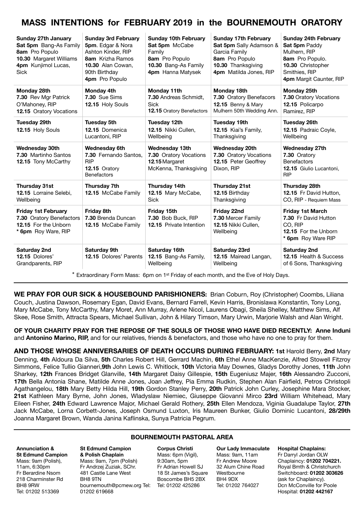# **MASS INTENTIONS for FEBRUARY 2019 in the BOURNEMOUTH ORATORY**

| Sunday 27th January<br>Sat 5pm Bang-As Family<br>8am Pro Populo<br>10.30 Margaret Williams<br>4pm Kunjimol Lucas,<br><b>Sick</b> | <b>Sunday 3rd February</b><br>5pm. Edgar & Nora<br>Ashton Kinder, RIP<br>8am Krizha Ramos<br>10.30 Alan Cowan,<br>90th Birthday<br>4pm Pro Populo | <b>Sunday 10th February</b><br>Sat 5pm McCabe<br>Family<br>8am Pro Populo<br>10.30 Bang-As Family<br>4pm Hanna Matysek | <b>Sunday 17th February</b><br>Sat 5pm Sally Adamson &<br>Garcia Family<br>8am Pro Populo<br>10.30 Thanksgiving<br>4pm Matilda Jones, RIP | <b>Sunday 24th February</b><br>Sat 5pm Paddy<br>Mulhern, RIP<br>8am Pro Populo.<br>10.30 Christopher<br>Smithies, RIP<br>4pm Margit Caunter, RIP |
|----------------------------------------------------------------------------------------------------------------------------------|---------------------------------------------------------------------------------------------------------------------------------------------------|------------------------------------------------------------------------------------------------------------------------|-------------------------------------------------------------------------------------------------------------------------------------------|--------------------------------------------------------------------------------------------------------------------------------------------------|
| Monday 28th<br>7.30 Rev Mgr Patrick<br>O'Mahoney, RIP<br><b>12.15 Oratory Vocations</b>                                          | Monday 4th<br>7.30 Sue Sims<br>12.15 Holy Souls                                                                                                   | Monday 11th<br>7.30 Andreas Schmidt,<br><b>Sick</b><br>12.15 Oratory Benefactors                                       | Monday 18th<br>7.30 Oratory Benefacors<br><b>12.15 Benny &amp; Mary</b><br>Mulhern 50th Wedding Ann.                                      | Monday 25th<br>7.30 Oratory Vocations<br>12.15 Policarpo<br>Ramirez, RIP                                                                         |
| Tuesday 29th<br>12.15 Holy Souls                                                                                                 | <b>Tuesday 5th</b><br>12.15 Domenica<br>Lucantoni, RIP                                                                                            | Tuesday 12th<br>12.15 Nikki Cullen.<br>Wellbeing                                                                       | <b>Tuesday 19th</b><br>12.15 Kiai's Family,<br>Thanksgiving                                                                               | <b>Tuesday 26th</b><br>12.15 Padraic Coyle,<br>Wellbeing                                                                                         |
| <b>Wednesday 30th</b><br>7.30 Martinho Santos<br>12.15 Tony McCarthy                                                             | <b>Wednesday 6th</b><br>7.30 Fernando Santos.<br><b>RIP</b><br>12.15 Oratory<br><b>Benefactors</b>                                                | <b>Wednesday 13th</b><br>7.30 Oratory Vocations<br>12.15 Margaret<br>McKenna, Thanksgiving                             | <b>Wednesday 20th</b><br>7.30 Oratory Vocations<br>12.15 Peter Geoffrey<br>Dixon, RIP                                                     | <b>Wednesday 27th</b><br>7.30 Oratory<br><b>Benefactors</b><br>12.15 Giulio Lucantoni,<br><b>RIP</b>                                             |
| Thursday 31st<br>12.15 Lorraine Selebi,<br>Wellbeing                                                                             | Thursday 7th<br>12.15 McCabe Family                                                                                                               | Thursday 14th<br>12.15 Mary McCabe,<br><b>Sick</b>                                                                     | Thursday 21st<br>12.15 Birthday<br>Thanksgiving                                                                                           | Thursday 28th<br>12.15 Fr David Hutton,<br>CO, RIP - Requiem Mass                                                                                |
| <b>Friday 1st February</b><br>7.30 Oratory Benefactors<br>12.15 For the Unborn<br>* 6pm Roy Ware, RIP                            | Friday 8th<br>7.30 Brenda Duncan<br>12.15 McCabe Family                                                                                           | Friday 15th<br>7.30 Bob Buck, RIP<br><b>12.15</b> Private Intention                                                    | Friday 22nd<br>7.30 Mercer Family<br>12.15 Nikki Cullen.<br>Wellbeing                                                                     | <b>Friday 1st March</b><br>7.30 Fr David Hutton<br>CO. RIP<br>12.15 For the Unborn<br>* 6pm Roy Ware RIP                                         |
| Saturday 2nd<br>12.15 Dolores'<br>Grandparents, RIP                                                                              | Saturday 9th<br><b>12.15 Dolores' Parents</b>                                                                                                     | Saturday 16th<br>12.15 Bang-As Family,<br>Wellbeing                                                                    | Saturday 23rd<br>12.15 Mairead Langan,<br>Wellbeing                                                                                       | Saturday 2nd<br>12.15 Health & Success<br>of 6 Sons, Thanksgiving                                                                                |

 $*$  Extraordinary Form Mass: 6pm on 1<sup>st</sup> Friday of each month, and the Eve of Holy Days.

**WE PRAY FOR OUR SICK & HOUSEBOUND PARISHIONERS:** Brian Coburn, Roy (Christopher) Coombs, Liliana Couch, Justina Dawson, Rosemary Egan, David Evans, Bernard Farrell, Kevin Harris, Bronislawa Konstantin, Tony Long, Mary McCabe, Tony McCarthy, Mary Moret, Ann Murray, Arlene Nicol, Laurens Obagi, Sheila Shelley, Matthew Sims, Alf Skee, Rose Smith, Attracta Spears, Michael Sullivan, John & Hilary Timson, Mary Urwin, Marjorie Walsh and Alan Wright.

**OF YOUR CHARITY PRAY FOR THE REPOSE OF THE SOULS OF THOSE WHO HAVE DIED RECENTLY: Anne Induni**  and **Antonino Marino, RIP,** and for our relatives, friends & benefactors, and those who have no one to pray for them.

**AND THOSE WHOSE ANNIVERSARIES OF DEATH OCCURS DURING FEBRUARY: 1st** Harold Berry, **2nd** Mary Denning, **4th** Aldoura Da Silva, **5th** Charles Robert Hill, Gerrard Machin, **6th** Ethel Anne MacKenzie, Alfred Stowell Fitzroy Simmons, Felice Tullio Gianneri,**9th** John Lewis C. Whitlock, **10th** Victoria May Downes, Gladys Dorothy Jones, **11th** John Sharkey, **12th** Frances Bridget Glanville, **14th** Margaret Daisy Gillespie, **15th** Eugeniusz Majer, **16th** Alessandro Zucconi, **17th** Bella Antonia Shane, Matilde Anne Jones, Joan Jeffrey, Pia Emma Rudkin, Stephen Alan Fairfield, Petros Christopli Agathangelou, **18th** Mary Betty Hilda Hill, **19th** Gordon Stanley Perry, **20th** Patrick John Curley, Josephine Mara Stocker, **21st** Kathleen Mary Byrne, John Jones, Wladyslaw Niemiec, Giuseppe Giovanni Mirco **23rd** William Whitehead, Mary Eileen Fisher, **24th** Edward Lawrence Major, Michael Gerald Rothery, **25th** Ellen Mendoza, Viginia Guadalupe Taylor, **27th** Jack McCabe, Lorna Corbett-Jones, Joseph Osmund Luxton, Iris Maureen Bunker, Giulio Dominic Lucantoni, **28/29th** Joanna Margaret Brown, Wanda Janina Kaflinska, Sunya Patricia Pegrum.

#### **BOURNEMOUTH PASTORAL AREA**

#### **Annunciation & St Edmund Campion**  Mass: 9am (Polish), 11am, 6:30pm Fr Berardine Nsom 218 Charminster Rd BH8 9RW Tel: 01202 513369

**St Edmund Campion & Polish Chaplain** Mass: 9am, 7pm (Polish) Fr Andrzej Zuziak, SChr. 481 Castle Lane West BH8 9TN [bournemouth@pcmew.org](mailto:bournemouth@pcmew.org) Tel: Tel: 01202 425286 01202 619668

#### **Corpus Christi**  Mass: 6pm (Vigil), 9:30am, 5pm Fr Adrian Howell SJ 18 St James's Square Boscombe BH5 2BX

**Our Lady Immaculate**  Mass: 9am, 11am Fr Andrew Moore 32 Alum Chine Road Westbourne BH4 9DX Tel: 01202 764027

#### **Hospital Chaplains:**

Fr Darryl Jordan OLW Chaplaincy: **01202 704221.** Royal Bmth & Christchurch Switchboard: **01202 303626** (ask for Chaplaincy). Dcn McConville for Poole Hospital: **01202 442167**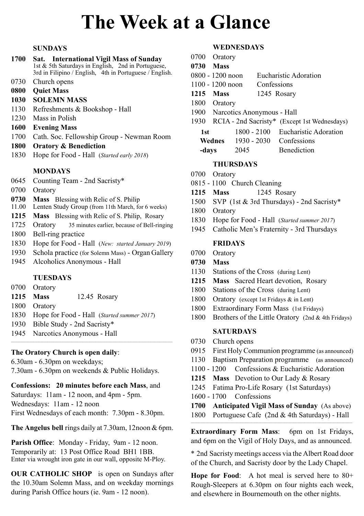# **The Week at a Glance**

#### **SUNDAYS**

- **1700 Sat. International Vigil Mass of Sunday**  1st & 5th Saturdays in English, 2nd in Portuguese, 3rd in Filipino / English, 4th in Portuguese / English.
- 0730 Church opens
- **0800 Quiet Mass**
- **1030 SOLEMN MASS**
- 1130 Refreshments & Bookshop Hall
- 1230 Mass in Polish
- **1600 Evening Mass**
- 1700 Cath. Soc. Fellowship Group Newman Room
- **1800 Oratory & Benediction**
- 1830 Hope for Food Hall (*Started early 2018*)

#### **MONDAYS**

- 0645 Counting Team 2nd Sacristy\*
- 0700 Oratory
- **0730 Mass** Blessing with Relic of S. Philip
- 11.00 Lenten Study Group (from 11th March, for 6 weeks)
- **1215 Mass** Blessing with Relic of S. Philip, Rosary
- 1725 Oratory 35 minutes earlier, because of Bell-ringing 1800 Bell-ring practice
- 1830 Hope for Food Hall (*New: started January 2019*)
- 1930 Schola practice (for Solemn Mass) Organ Gallery
- 1945 Alcoholics Anonymous Hall

#### **TUESDAYS**

- 0700 Oratory
- **1215 Mass** 12.45 Rosary
- 1800 Oratory
- 1830 Hope for Food Hall (*Started summer 2017*)
- 1930 Bible Study 2nd Sacristy\*
- 1945 Narcotics Anonymous Hall

#### **The Oratory Church is open daily**:

6.30am - 6.30pm on weekdays;

7.30am - 6.30pm on weekends & Public Holidays.

#### **Confessions: 20 minutes before each Mass**, and

Saturdays: 11am - 12 noon, and 4pm - 5pm. Wednesdays: 11am - 12 noon First Wednesdays of each month: 7.30pm - 8.30pm.

**The Angelus bell** rings daily at 7.30am, 12noon & 6pm.

Parish Office: Monday - Friday, 9am - 12 noon. Temporarily at: 13 Post Office Road BH1 1BB. Enter via wrought iron gate in our wall, opposite M-Ploy.

**OUR CATHOLIC SHOP** is open on Sundays after the 10.30am Solemn Mass, and on weekday mornings during Parish Office hours (ie. 9am - 12 noon).

#### **WEDNESDAYS**

- 0700 Oratory **0730 Mass**  0800 - 1200 noon Eucharistic Adoration 1100 - 1200 noon Confessions **1215 Mass** 1245 Rosary 1800 Oratory 1900 Narcotics Anonymous - Hall 1930 RCIA - 2nd Sacristy\* (Except 1st Wednesdays) **1st** 1800 - 2100 Eucharistic Adoration **Wednes** 1930 - 2030 Confessions
	- **-days** 2045 Benediction

#### **THURSDAYS**

- 0700 Oratory
- 0815 1100 Church Cleaning
- **1215 Mass** 1245 Rosary
- 1500 SVP (1st & 3rd Thursdays) 2nd Sacristy\*
- 1800 Oratory
- 1830 Hope for Food Hall (*Started summer 2017*)
- 1945 Catholic Men's Fraternity 3rd Thursdays

#### **FRIDAYS**

- 0700 Oratory
- **0730 Mass**
- 1130 Stations of the Cross (during Lent)
- **1215 Mass** Sacred Heart devotion, Rosary
- 1800 Stations of the Cross (during Lent)
- 1800 Oratory (except 1st Fridays & in Lent)
- 1800 Extraordinary Form Mass (1st Fridays)
- 1800 Brothers of the Little Oratory (2nd & 4th Fridays)

#### **SATURDAYS**

- 0730 Church opens
- 0915 First HolyCommunion programme (as announced)
- 1130 Baptism Preparation programme (as announced)
- 1100 1200 Confessions & Eucharistic Adoration
- **1215 Mass** Devotion to Our Lady & Rosary
- 1245 Fatima Pro-Life Rosary (1st Saturdays)
- 1600 1700 Confessions
- **1700 Anticipated Vigil Mass of Sunday** (As above)
- 1800 Portuguese Cafe (2nd & 4th Saturdays) Hall  $\mathcal{L}_\mathcal{L} = \{ \mathcal{L}_\mathcal{L} = \{ \mathcal{L}_\mathcal{L} = \{ \mathcal{L}_\mathcal{L} = \{ \mathcal{L}_\mathcal{L} = \{ \mathcal{L}_\mathcal{L} = \{ \mathcal{L}_\mathcal{L} = \{ \mathcal{L}_\mathcal{L} = \{ \mathcal{L}_\mathcal{L} = \{ \mathcal{L}_\mathcal{L} = \{ \mathcal{L}_\mathcal{L} = \{ \mathcal{L}_\mathcal{L} = \{ \mathcal{L}_\mathcal{L} = \{ \mathcal{L}_\mathcal{L} = \{ \mathcal{L}_\mathcal{$

**Extraordinary Form Mass**: 6pm on 1st Fridays, and 6pm on the Vigil of Holy Days, and as announced.

\* 2nd Sacristy meetings access via the Albert Road door of the Church, and Sacristy door by the Lady Chapel.

**Hope for Food**: A hot meal is served here to 80+ Rough-Sleepers at 6.30pm on four nights each week, and elsewhere in Bournemouth on the other nights.